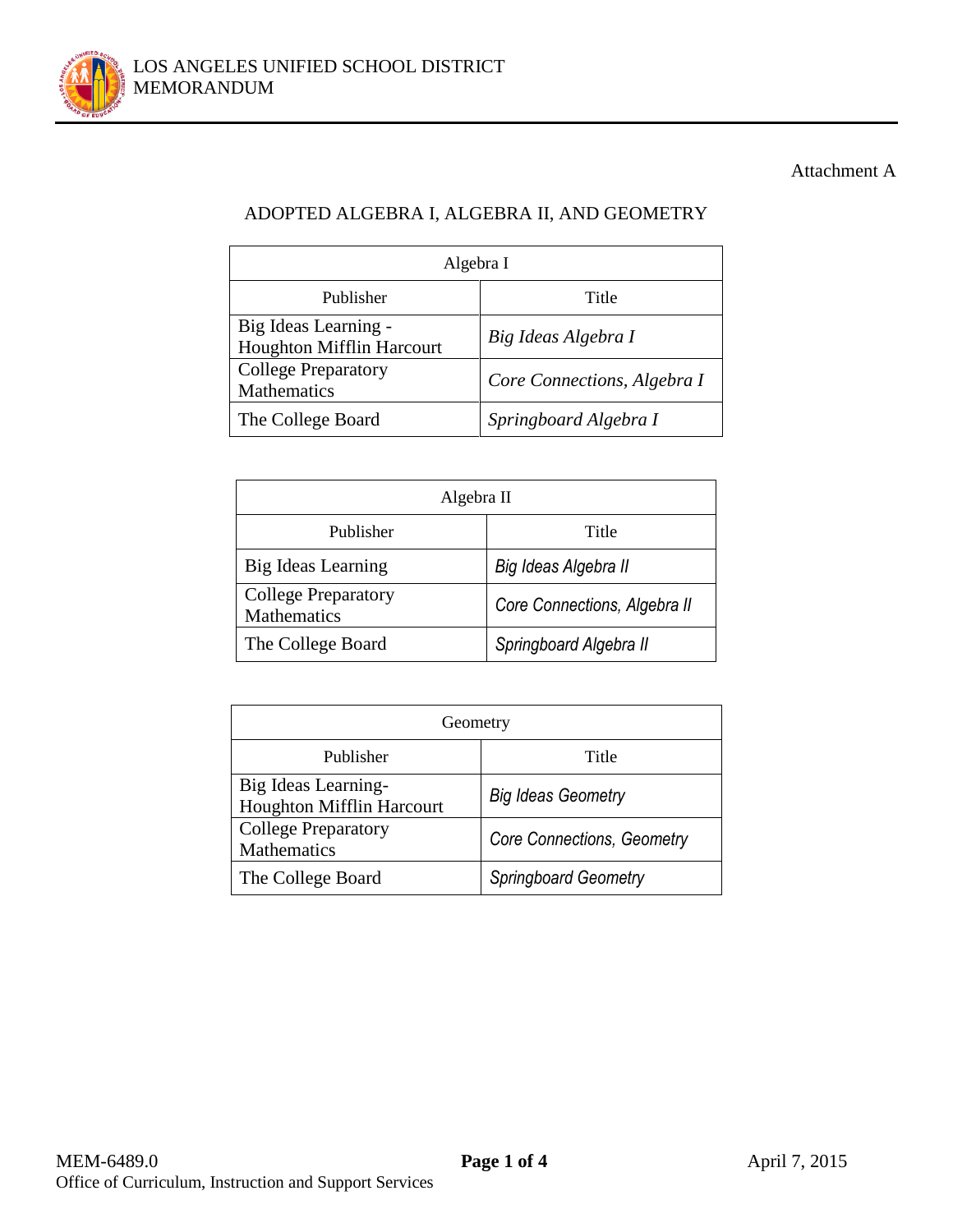

## Attachment A

# ADOPTED ALGEBRA I, ALGEBRA II, AND GEOMETRY

| Algebra I                                         |                             |  |  |  |
|---------------------------------------------------|-----------------------------|--|--|--|
| Publisher                                         | Title                       |  |  |  |
| Big Ideas Learning -<br>Houghton Mifflin Harcourt | Big Ideas Algebra I         |  |  |  |
| <b>College Preparatory</b><br>Mathematics         | Core Connections, Algebra I |  |  |  |
| The College Board                                 | Springboard Algebra I       |  |  |  |

| Algebra II                                |                              |  |  |
|-------------------------------------------|------------------------------|--|--|
| Publisher                                 | Title                        |  |  |
| Big Ideas Learning                        | Big Ideas Algebra II         |  |  |
| <b>College Preparatory</b><br>Mathematics | Core Connections, Algebra II |  |  |
| The College Board                         | Springboard Algebra II       |  |  |

| Geometry                                                |                            |  |  |  |
|---------------------------------------------------------|----------------------------|--|--|--|
| Publisher                                               | Title                      |  |  |  |
| Big Ideas Learning-<br><b>Houghton Mifflin Harcourt</b> | <b>Big Ideas Geometry</b>  |  |  |  |
| <b>College Preparatory</b><br>Mathematics               | Core Connections, Geometry |  |  |  |
| The College Board                                       | Springboard Geometry       |  |  |  |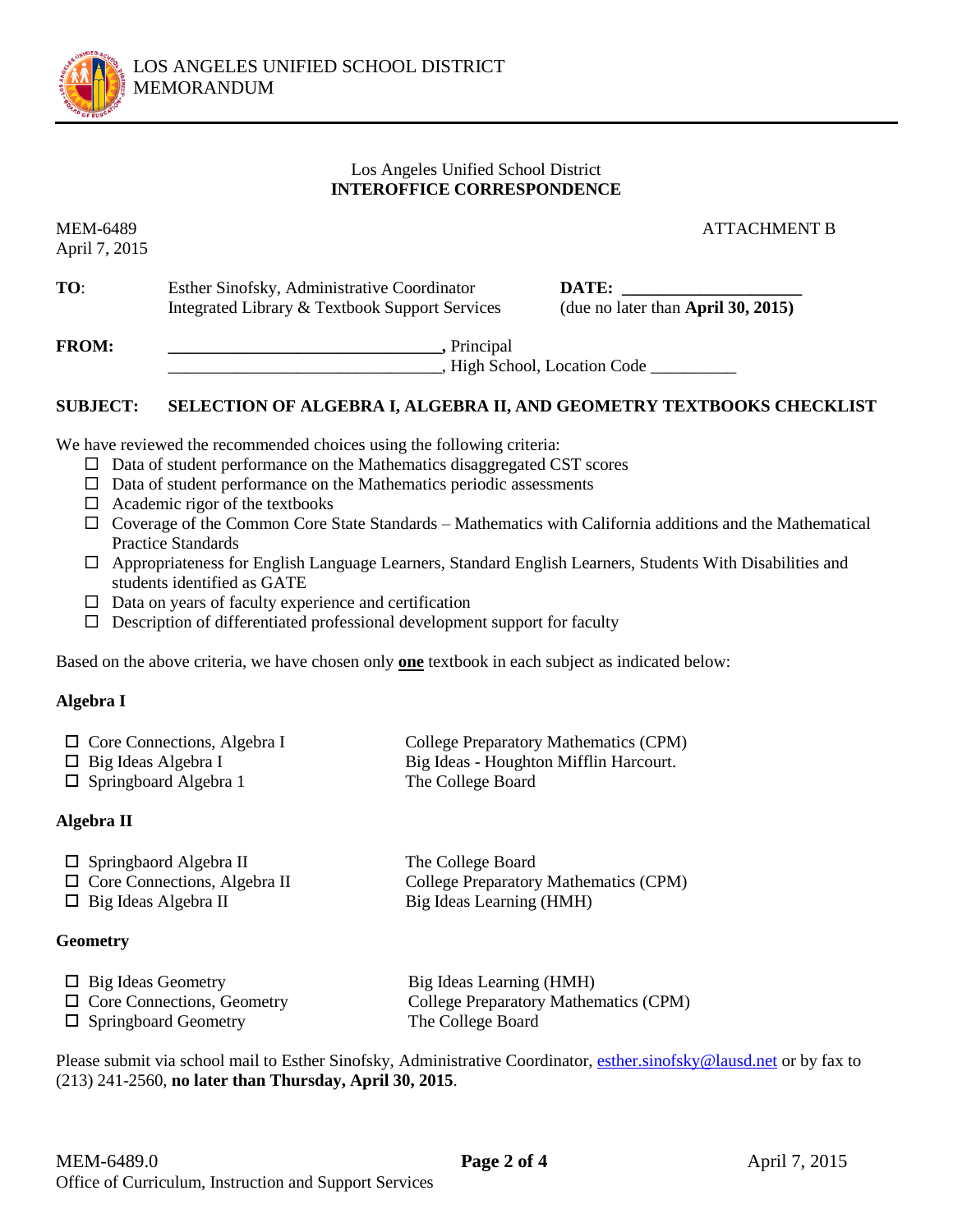

### Los Angeles Unified School District **INTEROFFICE CORRESPONDENCE**

April 7, 2015

MEM-6489 ATTACHMENT B

**TO:** Esther Sinofsky, Administrative Coordinator **DATE:** Integrated Library & Textbook Support Services (due no later than **April 30, 2015)**

**FROM: \_\_\_\_\_\_\_\_\_\_\_\_\_\_\_\_\_\_\_\_\_\_\_\_\_\_\_\_\_\_\_\_,** Principal \_\_\_\_\_\_\_\_\_\_\_\_\_\_\_\_\_\_\_\_\_\_\_\_\_\_\_\_\_\_\_\_, High School, Location Code \_\_\_\_\_\_\_\_\_\_

### **SUBJECT: SELECTION OF ALGEBRA I, ALGEBRA II, AND GEOMETRY TEXTBOOKS CHECKLIST**

We have reviewed the recommended choices using the following criteria:

- $\Box$  Data of student performance on the Mathematics disaggregated CST scores
- $\Box$  Data of student performance on the Mathematics periodic assessments
- $\Box$  Academic rigor of the textbooks
- $\Box$  Coverage of the Common Core State Standards Mathematics with California additions and the Mathematical Practice Standards
- Appropriateness for English Language Learners, Standard English Learners, Students With Disabilities and students identified as GATE
- $\Box$  Data on years of faculty experience and certification
- $\square$  Description of differentiated professional development support for faculty

Based on the above criteria, we have chosen only **one** textbook in each subject as indicated below:

### **Algebra I**

| $\Box$ Core Connections, Algebra I | College Preparatory Mathematics (CPM)  |
|------------------------------------|----------------------------------------|
| $\Box$ Big Ideas Algebra I         | Big Ideas - Houghton Mifflin Harcourt. |
| $\Box$ Springboard Algebra 1       | The College Board                      |

### **Algebra II**

| $\Box$ Springbaord Algebra II       | The College Board                     |
|-------------------------------------|---------------------------------------|
| $\Box$ Core Connections, Algebra II | College Preparatory Mathematics (CPM) |
| $\Box$ Big Ideas Algebra II         | Big Ideas Learning (HMH)              |

#### **Geometry**

| $\Box$ Big Ideas Geometry         | Big Ideas Learning (HMH)              |
|-----------------------------------|---------------------------------------|
| $\Box$ Core Connections, Geometry | College Preparatory Mathematics (CPM) |
| $\Box$ Springboard Geometry       | The College Board                     |

Please submit via school mail to Esther Sinofsky, Administrative Coordinator[, esther.sinofsky@lausd.net](mailto:esther.sinofsky@lausd.net) or by fax to (213) 241-2560, **no later than Thursday, April 30, 2015**.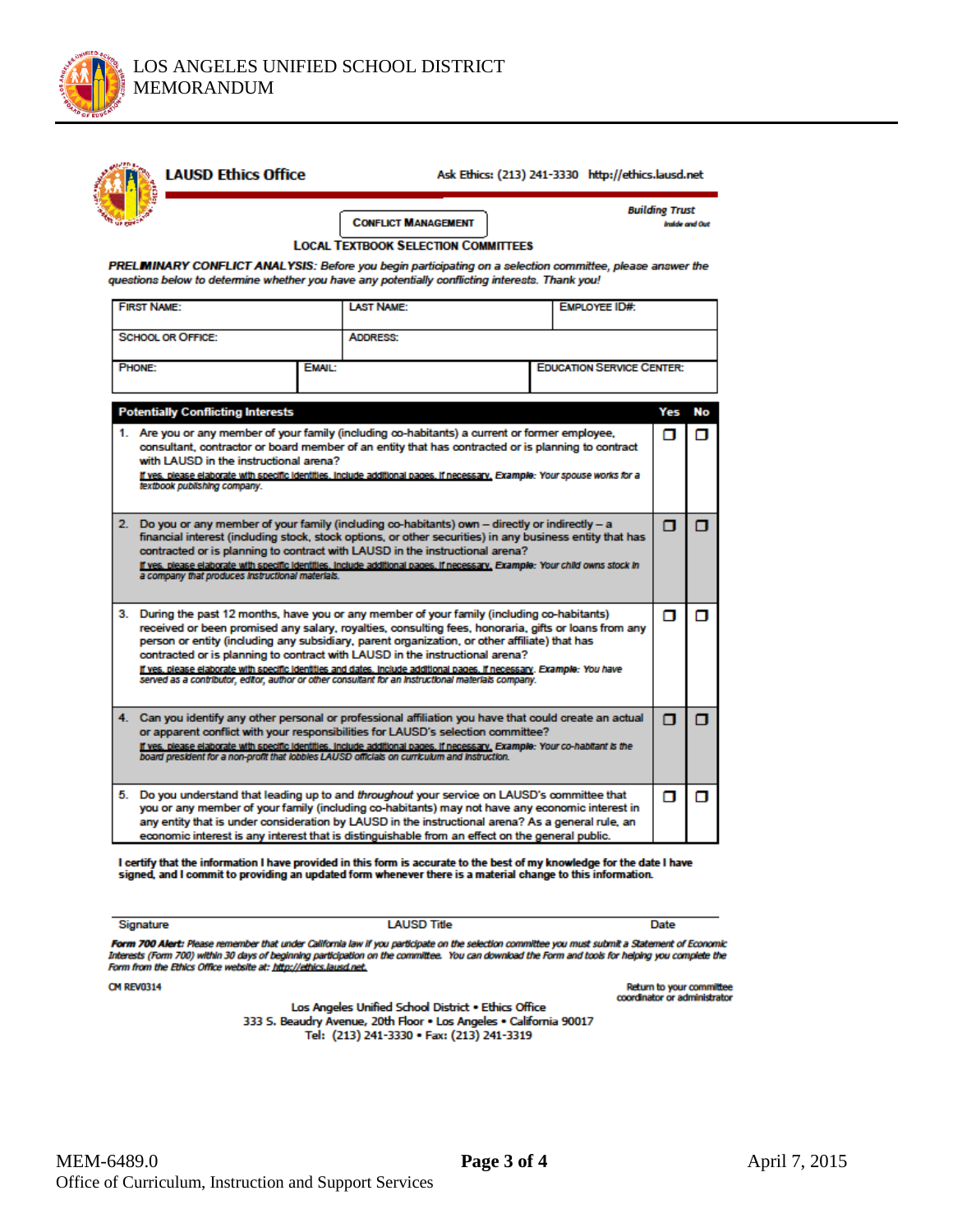

| PRELMINARY CONFLICT ANALYSIS: Before you begin participating on a selection committee, please answer the<br>questions below to determine whether you have any potentially conflicting interests. Thank you!                                                                                                                                                                                                                |                                                                                                                                                                                                                                                                                                                                                                                                                                                                                                                                                                                                                        | <b>CONFLICT MANAGEMENT</b><br><b>LOCAL TEXTBOOK SELECTION COMMITTEES</b>                                                                                                                                                                                                                                                                                                                                                     |  |                                  | <b>Building Trust</b><br><b>Inside and Out</b> |    |
|----------------------------------------------------------------------------------------------------------------------------------------------------------------------------------------------------------------------------------------------------------------------------------------------------------------------------------------------------------------------------------------------------------------------------|------------------------------------------------------------------------------------------------------------------------------------------------------------------------------------------------------------------------------------------------------------------------------------------------------------------------------------------------------------------------------------------------------------------------------------------------------------------------------------------------------------------------------------------------------------------------------------------------------------------------|------------------------------------------------------------------------------------------------------------------------------------------------------------------------------------------------------------------------------------------------------------------------------------------------------------------------------------------------------------------------------------------------------------------------------|--|----------------------------------|------------------------------------------------|----|
| <b>FIRST NAME:</b>                                                                                                                                                                                                                                                                                                                                                                                                         |                                                                                                                                                                                                                                                                                                                                                                                                                                                                                                                                                                                                                        | <b>LAST NAME:</b>                                                                                                                                                                                                                                                                                                                                                                                                            |  | <b>EMPLOYEE ID#:</b>             |                                                |    |
| <b>SCHOOL OR OFFICE:</b>                                                                                                                                                                                                                                                                                                                                                                                                   |                                                                                                                                                                                                                                                                                                                                                                                                                                                                                                                                                                                                                        | <b>ADDRESS:</b>                                                                                                                                                                                                                                                                                                                                                                                                              |  |                                  |                                                |    |
| <b>PHONE:</b>                                                                                                                                                                                                                                                                                                                                                                                                              | EMAIL:                                                                                                                                                                                                                                                                                                                                                                                                                                                                                                                                                                                                                 |                                                                                                                                                                                                                                                                                                                                                                                                                              |  | <b>EDUCATION SERVICE CENTER:</b> |                                                |    |
| <b>Potentially Conflicting Interests</b>                                                                                                                                                                                                                                                                                                                                                                                   |                                                                                                                                                                                                                                                                                                                                                                                                                                                                                                                                                                                                                        |                                                                                                                                                                                                                                                                                                                                                                                                                              |  |                                  | Yes                                            | No |
| 1. Are you or any member of your family (including co-habitants) a current or former employee.<br>consultant, contractor or board member of an entity that has contracted or is planning to contract<br>with LAUSD in the instructional arena?<br>If yes, please elaborate with specific identities, include additional pages, if necessary, Example: Your spouse works for a<br>textbook publishing company.              |                                                                                                                                                                                                                                                                                                                                                                                                                                                                                                                                                                                                                        |                                                                                                                                                                                                                                                                                                                                                                                                                              |  |                                  | п                                              | σ  |
| a company that produces instructional materials.                                                                                                                                                                                                                                                                                                                                                                           |                                                                                                                                                                                                                                                                                                                                                                                                                                                                                                                                                                                                                        | 2. Do you or any member of your family (including co-habitants) own - directly or indirectly - a<br>financial interest (including stock, stock options, or other securities) in any business entity that has<br>contracted or is planning to contract with LAUSD in the instructional arena?<br>If yes, please elaborate with specific identities, include additional pages, if necessary, Example: Your child owns stock in |  |                                  | п                                              | п  |
|                                                                                                                                                                                                                                                                                                                                                                                                                            | 3. During the past 12 months, have you or any member of your family (including co-habitants)<br>received or been promised any salary, royalties, consulting fees, honoraria, gifts or loans from any<br>person or entity (including any subsidiary, parent organization, or other affiliate) that has<br>contracted or is planning to contract with LAUSD in the instructional arena?<br>If yes, please elaborate with specific identities and dates, include additional pages, if necessary. Example: You have<br>served as a contributor, editor, author or other consultant for an instructional materials company. |                                                                                                                                                                                                                                                                                                                                                                                                                              |  | α                                | п                                              |    |
| 4. Can you identify any other personal or professional affiliation you have that could create an actual<br>or apparent conflict with your responsibilities for LAUSD's selection committee?<br>If yes, please elaborate with specific identities, include additional pages, if necessary, Example: Your co-habitant is the<br>board president for a non-profit that lobbles LAUSD officials on curriculum and instruction. |                                                                                                                                                                                                                                                                                                                                                                                                                                                                                                                                                                                                                        |                                                                                                                                                                                                                                                                                                                                                                                                                              |  | п                                | п                                              |    |
| 5. Do you understand that leading up to and throughout your service on LAUSD's committee that<br>you or any member of your family (including co-habitants) may not have any economic interest in<br>any entity that is under consideration by LAUSD in the instructional arena? As a general rule, an<br>economic interest is any interest that is distinguishable from an effect on the general public.                   |                                                                                                                                                                                                                                                                                                                                                                                                                                                                                                                                                                                                                        |                                                                                                                                                                                                                                                                                                                                                                                                                              |  |                                  | п                                              | п  |

I certify that the information I have provided in this form is accurate to the best of my knowledge for the date I have<br>signed, and I commit to providing an updated form whenever there is a material change to this informat

Signature

**LAUSD Title** 

Date

Form 700 Alert: Please remember that under California law if you participate on the selection committee you must submit a Statement of Economic<br>Interests (Form 700) within 30 days of beginning participation on the committe

**CM REV0314** 

Return to your committee coordinator or administrator

Los Angeles Unified School District . Ethics Office 333 S. Beaudry Avenue, 20th Floor . Los Angeles . California 90017 Tel: (213) 241-3330 · Fax: (213) 241-3319